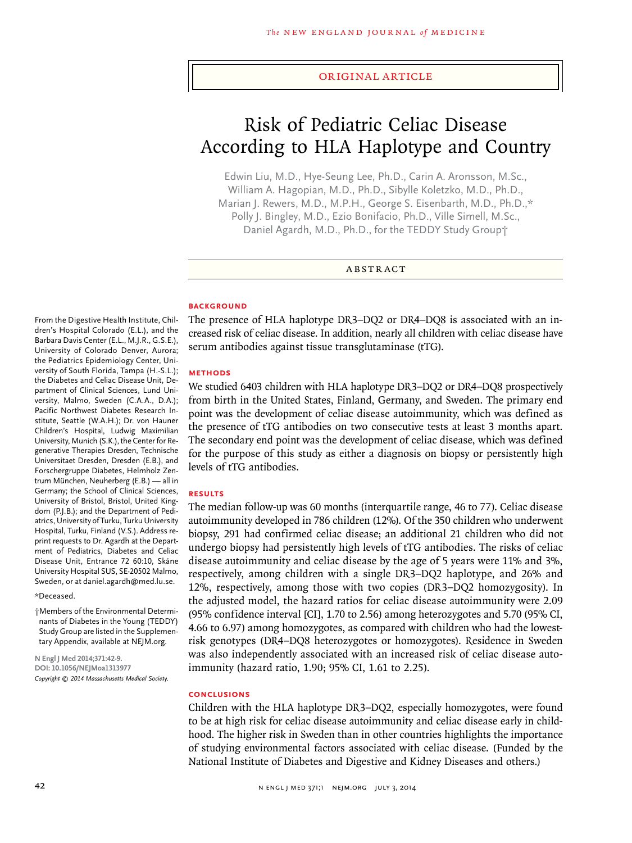#### original article

# Risk of Pediatric Celiac Disease According to HLA Haplotype and Country

Edwin Liu, M.D., Hye-Seung Lee, Ph.D., Carin A. Aronsson, M.Sc., William A. Hagopian, M.D., Ph.D., Sibylle Koletzko, M.D., Ph.D., Marian J. Rewers, M.D., M.P.H., George S. Eisenbarth, M.D., Ph.D.,\* Polly J. Bingley, M.D., Ezio Bonifacio, Ph.D., Ville Simell, M.Sc., Daniel Agardh, M.D., Ph.D., for the TEDDY Study Group†

#### ABSTRACT

#### **BACKGROUND**

From the Digestive Health Institute, Children's Hospital Colorado (E.L.), and the Barbara Davis Center (E.L., M.J.R., G.S.E.), University of Colorado Denver, Aurora; the Pediatrics Epidemiology Center, University of South Florida, Tampa (H.-S.L.); the Diabetes and Celiac Disease Unit, Department of Clinical Sciences, Lund University, Malmo, Sweden (C.A.A., D.A.); Pacific Northwest Diabetes Research Institute, Seattle (W.A.H.); Dr. von Hauner Children's Hospital, Ludwig Maximilian University, Munich (S.K.), the Center for Regenerative Therapies Dresden, Technische Universitaet Dresden, Dresden (E.B.), and Forschergruppe Diabetes, Helmholz Zentrum München, Neuherberg (E.B.) — all in Germany; the School of Clinical Sciences, University of Bristol, Bristol, United Kingdom (P.J.B.); and the Department of Pediatrics, University of Turku, Turku University Hospital, Turku, Finland (V.S.). Address reprint requests to Dr. Agardh at the Department of Pediatrics, Diabetes and Celiac Disease Unit, Entrance 72 60:10, Skåne University Hospital SUS, SE-20502 Malmo, Sweden, or at daniel.agardh@med.lu.se.

#### \*Deceased.

†Members of the Environmental Determinants of Diabetes in the Young (TEDDY) Study Group are listed in the Supplementary Appendix, available at NEJM.org.

**N Engl J Med 2014;371:42-9. DOI: 10.1056/NEJMoa1313977** *Copyright © 2014 Massachusetts Medical Society.* The presence of HLA haplotype DR3–DQ2 or DR4–DQ8 is associated with an increased risk of celiac disease. In addition, nearly all children with celiac disease have serum antibodies against tissue transglutaminase (tTG).

#### **Methods**

We studied 6403 children with HLA haplotype DR3–DQ2 or DR4–DQ8 prospectively from birth in the United States, Finland, Germany, and Sweden. The primary end point was the development of celiac disease autoimmunity, which was defined as the presence of tTG antibodies on two consecutive tests at least 3 months apart. The secondary end point was the development of celiac disease, which was defined for the purpose of this study as either a diagnosis on biopsy or persistently high levels of tTG antibodies.

#### **Results**

The median follow-up was 60 months (interquartile range, 46 to 77). Celiac disease autoimmunity developed in 786 children (12%). Of the 350 children who underwent biopsy, 291 had confirmed celiac disease; an additional 21 children who did not undergo biopsy had persistently high levels of tTG antibodies. The risks of celiac disease autoimmunity and celiac disease by the age of 5 years were 11% and 3%, respectively, among children with a single DR3–DQ2 haplotype, and 26% and 12%, respectively, among those with two copies (DR3–DQ2 homozygosity). In the adjusted model, the hazard ratios for celiac disease autoimmunity were 2.09 (95% confidence interval [CI], 1.70 to 2.56) among heterozygotes and 5.70 (95% CI, 4.66 to 6.97) among homozygotes, as compared with children who had the lowestrisk genotypes (DR4–DQ8 heterozygotes or homozygotes). Residence in Sweden was also independently associated with an increased risk of celiac disease autoimmunity (hazard ratio, 1.90; 95% CI, 1.61 to 2.25).

#### **Conclusions**

Children with the HLA haplotype DR3–DQ2, especially homozygotes, were found to be at high risk for celiac disease autoimmunity and celiac disease early in childhood. The higher risk in Sweden than in other countries highlights the importance of studying environmental factors associated with celiac disease. (Funded by the National Institute of Diabetes and Digestive and Kidney Diseases and others.)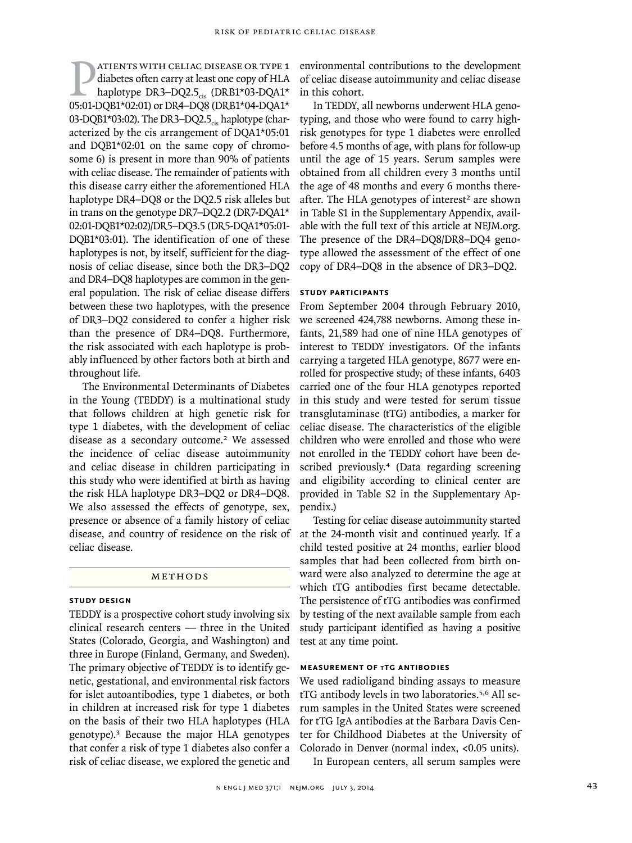Patients with celiac disease or type 1<br>
diabetes often carry at least one copy of HLA<br>
haplotype DR3–DQ2.5<sub>cis</sub> (DRB1\*03-DQA1\*<br>
05:01-DOB1\*02:01) or DR4–DO8 (DRB1\*04-DOA1\* diabetes often carry at least one copy of HLA 05:01-DQB1\*02:01) or DR4–DQ8 (DRB1\*04-DQA1\* 03-DQB1\*03:02). The DR3-DQ2.5 $_{cis}$  haplotype (characterized by the cis arrangement of DQA1\*05:01 and DQB1\*02:01 on the same copy of chromosome 6) is present in more than 90% of patients with celiac disease. The remainder of patients with this disease carry either the aforementioned HLA haplotype DR4–DQ8 or the DQ2.5 risk alleles but in trans on the genotype DR7–DQ2.2 (DR7-DQA1\* 02:01-DQB1\*02:02)/DR5–DQ3.5 (DR5-DQA1\*05:01- DQB1\*03:01). The identification of one of these haplotypes is not, by itself, sufficient for the diagnosis of celiac disease, since both the DR3–DQ2 and DR4–DQ8 haplotypes are common in the general population. The risk of celiac disease differs between these two haplotypes, with the presence of DR3–DQ2 considered to confer a higher risk than the presence of DR4–DQ8. Furthermore, the risk associated with each haplotype is probably influenced by other factors both at birth and throughout life.

The Environmental Determinants of Diabetes in the Young (TEDDY) is a multinational study that follows children at high genetic risk for type 1 diabetes, with the development of celiac disease as a secondary outcome.<sup>2</sup> We assessed the incidence of celiac disease autoimmunity and celiac disease in children participating in this study who were identified at birth as having the risk HLA haplotype DR3–DQ2 or DR4–DQ8. We also assessed the effects of genotype, sex, presence or absence of a family history of celiac disease, and country of residence on the risk of celiac disease.

## **METHODS**

## **Study Design**

TEDDY is a prospective cohort study involving six clinical research centers — three in the United States (Colorado, Georgia, and Washington) and three in Europe (Finland, Germany, and Sweden). The primary objective of TEDDY is to identify genetic, gestational, and environmental risk factors for islet autoantibodies, type 1 diabetes, or both in children at increased risk for type 1 diabetes on the basis of their two HLA haplotypes (HLA genotype).<sup>3</sup> Because the major HLA genotypes that confer a risk of type 1 diabetes also confer a risk of celiac disease, we explored the genetic and

environmental contributions to the development of celiac disease autoimmunity and celiac disease in this cohort.

In TEDDY, all newborns underwent HLA genotyping, and those who were found to carry highrisk genotypes for type 1 diabetes were enrolled before 4.5 months of age, with plans for follow-up until the age of 15 years. Serum samples were obtained from all children every 3 months until the age of 48 months and every 6 months thereafter. The HLA genotypes of interest<sup>2</sup> are shown in Table S1 in the Supplementary Appendix, available with the full text of this article at NEJM.org. The presence of the DR4–DQ8/DR8–DQ4 genotype allowed the assessment of the effect of one copy of DR4–DQ8 in the absence of DR3–DQ2.

## **Study Participants**

From September 2004 through February 2010, we screened 424,788 newborns. Among these infants, 21,589 had one of nine HLA genotypes of interest to TEDDY investigators. Of the infants carrying a targeted HLA genotype, 8677 were enrolled for prospective study; of these infants, 6403 carried one of the four HLA genotypes reported in this study and were tested for serum tissue transglutaminase (tTG) antibodies, a marker for celiac disease. The characteristics of the eligible children who were enrolled and those who were not enrolled in the TEDDY cohort have been described previously.4 (Data regarding screening and eligibility according to clinical center are provided in Table S2 in the Supplementary Appendix.)

Testing for celiac disease autoimmunity started at the 24-month visit and continued yearly. If a child tested positive at 24 months, earlier blood samples that had been collected from birth onward were also analyzed to determine the age at which tTG antibodies first became detectable. The persistence of tTG antibodies was confirmed by testing of the next available sample from each study participant identified as having a positive test at any time point.

## **MEASUREMENT OF TTG ANTIBODIES**

We used radioligand binding assays to measure tTG antibody levels in two laboratories.5,6 All serum samples in the United States were screened for tTG IgA antibodies at the Barbara Davis Center for Childhood Diabetes at the University of Colorado in Denver (normal index, <0.05 units).

In European centers, all serum samples were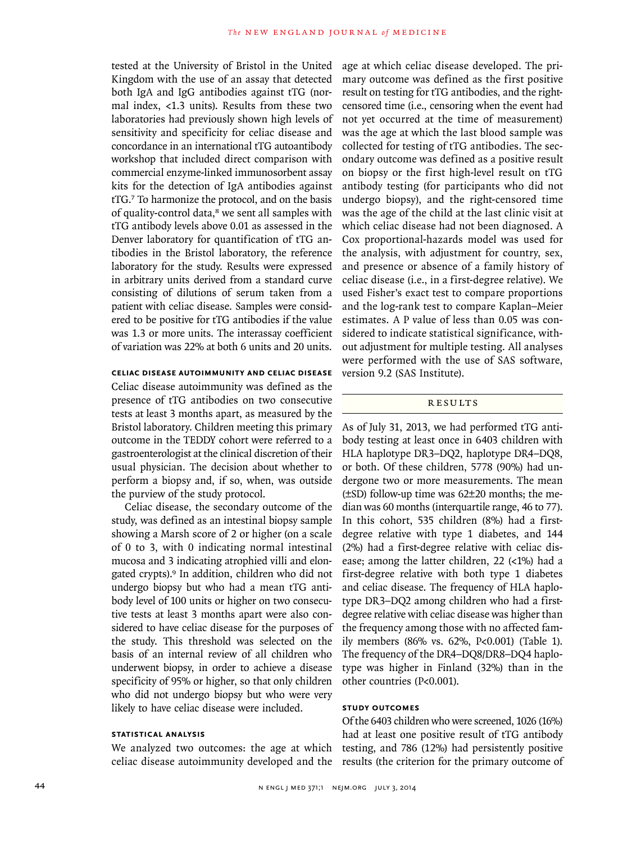tested at the University of Bristol in the United Kingdom with the use of an assay that detected both IgA and IgG antibodies against tTG (normal index, <1.3 units). Results from these two laboratories had previously shown high levels of sensitivity and specificity for celiac disease and concordance in an international tTG autoantibody workshop that included direct comparison with commercial enzyme-linked immunosorbent assay kits for the detection of IgA antibodies against tTG.7 To harmonize the protocol, and on the basis of quality-control data,<sup>8</sup> we sent all samples with tTG antibody levels above 0.01 as assessed in the Denver laboratory for quantification of tTG antibodies in the Bristol laboratory, the reference laboratory for the study. Results were expressed in arbitrary units derived from a standard curve consisting of dilutions of serum taken from a patient with celiac disease. Samples were considered to be positive for tTG antibodies if the value was 1.3 or more units. The interassay coefficient of variation was 22% at both 6 units and 20 units.

## **Celiac Disease Autoimmunity and Celiac Disease**

Celiac disease autoimmunity was defined as the presence of tTG antibodies on two consecutive tests at least 3 months apart, as measured by the Bristol laboratory. Children meeting this primary outcome in the TEDDY cohort were referred to a gastroenterologist at the clinical discretion of their usual physician. The decision about whether to perform a biopsy and, if so, when, was outside the purview of the study protocol.

Celiac disease, the secondary outcome of the study, was defined as an intestinal biopsy sample showing a Marsh score of 2 or higher (on a scale of 0 to 3, with 0 indicating normal intestinal mucosa and 3 indicating atrophied villi and elongated crypts).9 In addition, children who did not undergo biopsy but who had a mean tTG antibody level of 100 units or higher on two consecutive tests at least 3 months apart were also considered to have celiac disease for the purposes of the study. This threshold was selected on the basis of an internal review of all children who underwent biopsy, in order to achieve a disease specificity of 95% or higher, so that only children who did not undergo biopsy but who were very likely to have celiac disease were included.

# **Statistical Analysis**

We analyzed two outcomes: the age at which celiac disease autoimmunity developed and the

age at which celiac disease developed. The primary outcome was defined as the first positive result on testing for tTG antibodies, and the rightcensored time (i.e., censoring when the event had not yet occurred at the time of measurement) was the age at which the last blood sample was collected for testing of tTG antibodies. The secondary outcome was defined as a positive result on biopsy or the first high-level result on tTG antibody testing (for participants who did not undergo biopsy), and the right-censored time was the age of the child at the last clinic visit at which celiac disease had not been diagnosed. A Cox proportional-hazards model was used for the analysis, with adjustment for country, sex, and presence or absence of a family history of celiac disease (i.e., in a first-degree relative). We used Fisher's exact test to compare proportions and the log-rank test to compare Kaplan–Meier estimates. A P value of less than 0.05 was considered to indicate statistical significance, without adjustment for multiple testing. All analyses were performed with the use of SAS software, version 9.2 (SAS Institute).

## **RESULTS**

As of July 31, 2013, we had performed tTG antibody testing at least once in 6403 children with HLA haplotype DR3–DQ2, haplotype DR4–DQ8, or both. Of these children, 5778 (90%) had undergone two or more measurements. The mean (±SD) follow-up time was 62±20 months; the median was 60 months (interquartile range, 46 to 77). In this cohort, 535 children (8%) had a firstdegree relative with type 1 diabetes, and 144 (2%) had a first-degree relative with celiac disease; among the latter children, 22 (<1%) had a first-degree relative with both type 1 diabetes and celiac disease. The frequency of HLA haplotype DR3–DQ2 among children who had a firstdegree relative with celiac disease was higher than the frequency among those with no affected family members (86% vs. 62%, P<0.001) (Table 1). The frequency of the DR4–DQ8/DR8–DQ4 haplotype was higher in Finland (32%) than in the other countries (P<0.001).

# **Study Outcomes**

Of the 6403 children who were screened, 1026 (16%) had at least one positive result of tTG antibody testing, and 786 (12%) had persistently positive results (the criterion for the primary outcome of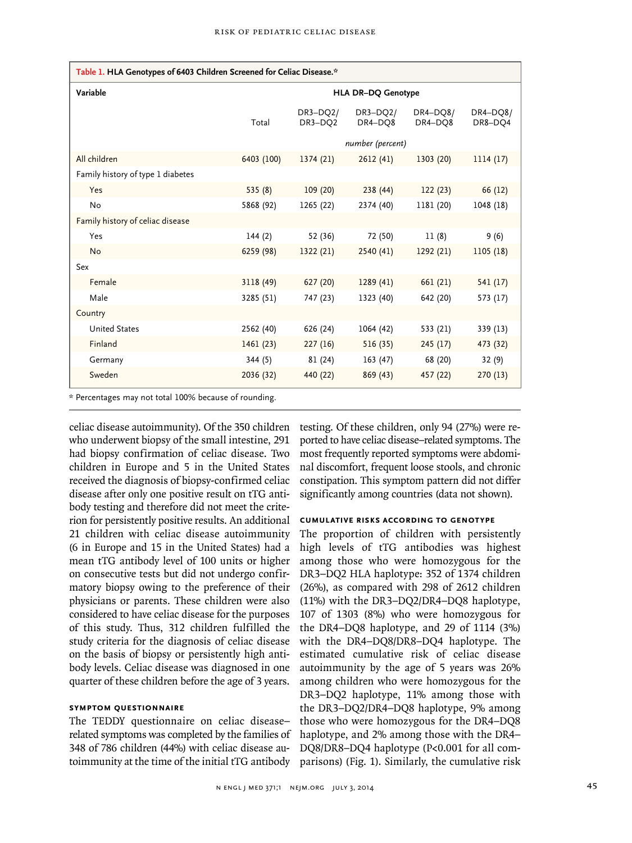| Table 1. HLA Genotypes of 6403 Children Screened for Celiac Disease.* |                           |                       |                       |                     |                     |  |  |  |  |
|-----------------------------------------------------------------------|---------------------------|-----------------------|-----------------------|---------------------|---------------------|--|--|--|--|
| Variable                                                              | <b>HLA DR-DQ Genotype</b> |                       |                       |                     |                     |  |  |  |  |
|                                                                       | Total                     | $DR3-DQ2/$<br>DR3-DQ2 | $DR3-DQ2/$<br>DR4-DQ8 | DR4-DQ8/<br>DR4-DQ8 | DR4-DQ8/<br>DR8-DQ4 |  |  |  |  |
|                                                                       | number (percent)          |                       |                       |                     |                     |  |  |  |  |
| All children                                                          | 6403 (100)                | 1374(21)              | 2612(41)              | 1303(20)            | 1114(17)            |  |  |  |  |
| Family history of type 1 diabetes                                     |                           |                       |                       |                     |                     |  |  |  |  |
| Yes                                                                   | 535(8)                    | 109(20)               | 238(44)               | 122(23)             | 66 (12)             |  |  |  |  |
| No                                                                    | 5868 (92)                 | 1265 (22)             | 2374 (40)             | 1181 (20)           | 1048 (18)           |  |  |  |  |
| Family history of celiac disease                                      |                           |                       |                       |                     |                     |  |  |  |  |
| Yes                                                                   | 144(2)                    | 52 (36)               | 72 (50)               | 11(8)               | 9(6)                |  |  |  |  |
| <b>No</b>                                                             | 6259 (98)                 | 1322(21)              | 2540 (41)             | 1292(21)            | 1105(18)            |  |  |  |  |
| Sex                                                                   |                           |                       |                       |                     |                     |  |  |  |  |
| Female                                                                | 3118 (49)                 | 627(20)               | 1289(41)              | 661(21)             | 541 (17)            |  |  |  |  |
| Male                                                                  | 3285 (51)                 | 747 (23)              | 1323 (40)             | 642 (20)            | 573 (17)            |  |  |  |  |
| Country                                                               |                           |                       |                       |                     |                     |  |  |  |  |
| <b>United States</b>                                                  | 2562 (40)                 | 626 (24)              | 1064 (42)             | 533 (21)            | 339 (13)            |  |  |  |  |
| Finland                                                               | 1461(23)                  | 227(16)               | 516(35)               | 245(17)             | 473 (32)            |  |  |  |  |
| Germany                                                               | 344 (5)                   | 81 (24)               | 163 (47)              | 68 (20)             | 32(9)               |  |  |  |  |
| Sweden                                                                | 2036 (32)                 | 440 (22)              | 869(43)               | 457 (22)            | 270(13)             |  |  |  |  |

\* Percentages may not total 100% because of rounding.

celiac disease autoimmunity). Of the 350 children who underwent biopsy of the small intestine, 291 had biopsy confirmation of celiac disease. Two children in Europe and 5 in the United States received the diagnosis of biopsy-confirmed celiac disease after only one positive result on tTG antibody testing and therefore did not meet the criterion for persistently positive results. An additional 21 children with celiac disease autoimmunity (6 in Europe and 15 in the United States) had a mean tTG antibody level of 100 units or higher on consecutive tests but did not undergo confirmatory biopsy owing to the preference of their physicians or parents. These children were also considered to have celiac disease for the purposes of this study. Thus, 312 children fulfilled the study criteria for the diagnosis of celiac disease on the basis of biopsy or persistently high antibody levels. Celiac disease was diagnosed in one quarter of these children before the age of 3 years.

## **Symptom Questionnaire**

The TEDDY questionnaire on celiac disease– related symptoms was completed by the families of 348 of 786 children (44%) with celiac disease autoimmunity at the time of the initial tTG antibody

testing. Of these children, only 94 (27%) were reported to have celiac disease–related symptoms. The most frequently reported symptoms were abdominal discomfort, frequent loose stools, and chronic constipation. This symptom pattern did not differ significantly among countries (data not shown).

#### **Cumulative Risks According to Genotype**

The proportion of children with persistently high levels of tTG antibodies was highest among those who were homozygous for the DR3–DQ2 HLA haplotype: 352 of 1374 children (26%), as compared with 298 of 2612 children (11%) with the DR3–DQ2/DR4–DQ8 haplotype, 107 of 1303 (8%) who were homozygous for the DR4–DQ8 haplotype, and 29 of 1114 (3%) with the DR4–DQ8/DR8–DQ4 haplotype. The estimated cumulative risk of celiac disease autoimmunity by the age of 5 years was 26% among children who were homozygous for the DR3–DQ2 haplotype, 11% among those with the DR3–DQ2/DR4–DQ8 haplotype, 9% among those who were homozygous for the DR4–DQ8 haplotype, and 2% among those with the DR4– DQ8/DR8–DQ4 haplotype (P<0.001 for all comparisons) (Fig. 1). Similarly, the cumulative risk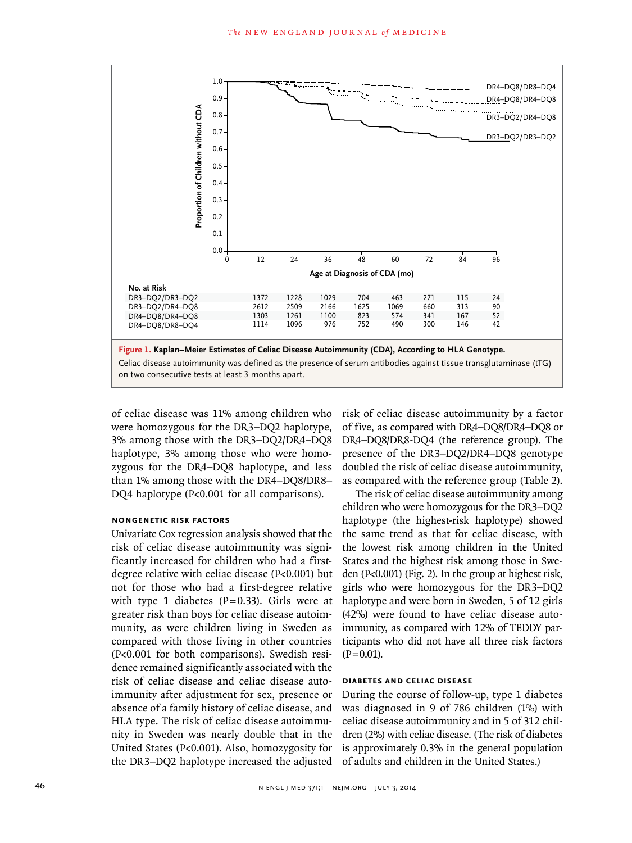

of celiac disease was 11% among children who were homozygous for the DR3–DQ2 haplotype, 3% among those with the DR3–DQ2/DR4–DQ8 haplotype, 3% among those who were homozygous for the DR4–DQ8 haplotype, and less than 1% among those with the DR4–DQ8/DR8– DQ4 haplotype (P<0.001 for all comparisons).

#### **Nongenetic Risk Factors**

Univariate Cox regression analysis showed that the risk of celiac disease autoimmunity was significantly increased for children who had a firstdegree relative with celiac disease (P<0.001) but not for those who had a first-degree relative with type 1 diabetes ( $P=0.33$ ). Girls were at greater risk than boys for celiac disease autoimmunity, as were children living in Sweden as compared with those living in other countries (P<0.001 for both comparisons). Swedish residence remained significantly associated with the risk of celiac disease and celiac disease autoimmunity after adjustment for sex, presence or absence of a family history of celiac disease, and HLA type. The risk of celiac disease autoimmunity in Sweden was nearly double that in the United States (P<0.001). Also, homozygosity for the DR3–DQ2 haplotype increased the adjusted risk of celiac disease autoimmunity by a factor of five, as compared with DR4–DQ8/DR4–DQ8 or DR4–DQ8/DR8-DQ4 (the reference group). The presence of the DR3–DQ2/DR4–DQ8 genotype doubled the risk of celiac disease autoimmunity, as compared with the reference group (Table 2).

The risk of celiac disease autoimmunity among children who were homozygous for the DR3–DQ2 haplotype (the highest-risk haplotype) showed the same trend as that for celiac disease, with the lowest risk among children in the United States and the highest risk among those in Sweden (P<0.001) (Fig. 2). In the group at highest risk, girls who were homozygous for the DR3–DQ2 haplotype and were born in Sweden, 5 of 12 girls (42%) were found to have celiac disease autoimmunity, as compared with 12% of TEDDY participants who did not have all three risk factors  $(P=0.01)$ .

## **Diabetes and Celiac Disease**

During the course of follow-up, type 1 diabetes was diagnosed in 9 of 786 children (1%) with celiac disease autoimmunity and in 5 of 312 children (2%) with celiac disease. (The risk of diabetes is approximately 0.3% in the general population of adults and children in the United States.)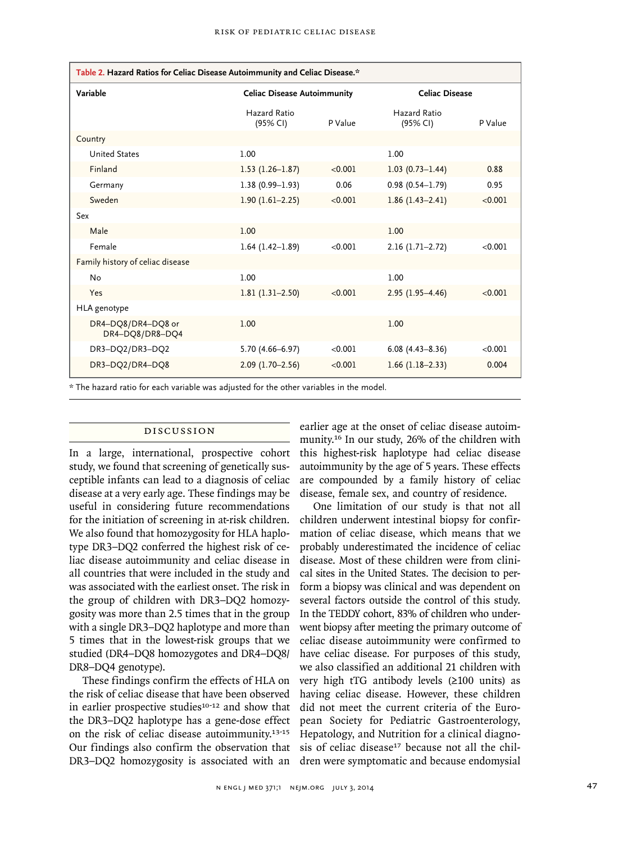| Table 2. Hazard Ratios for Celiac Disease Autoimmunity and Celiac Disease.*             |                                    |         |                          |         |  |  |  |  |
|-----------------------------------------------------------------------------------------|------------------------------------|---------|--------------------------|---------|--|--|--|--|
| Variable                                                                                | <b>Celiac Disease Autoimmunity</b> |         | Celiac Disease           |         |  |  |  |  |
|                                                                                         | Hazard Ratio<br>(95% CI)           | P Value | Hazard Ratio<br>(95% CI) | P Value |  |  |  |  |
| Country                                                                                 |                                    |         |                          |         |  |  |  |  |
| <b>United States</b>                                                                    | 1.00                               |         | 1.00                     |         |  |  |  |  |
| Finland                                                                                 | $1.53(1.26 - 1.87)$                | < 0.001 | $1.03(0.73 - 1.44)$      | 0.88    |  |  |  |  |
| Germany                                                                                 | $1.38(0.99 - 1.93)$                | 0.06    | $0.98(0.54 - 1.79)$      | 0.95    |  |  |  |  |
| Sweden                                                                                  | $1.90(1.61 - 2.25)$                | < 0.001 | $1.86(1.43 - 2.41)$      | < 0.001 |  |  |  |  |
| Sex                                                                                     |                                    |         |                          |         |  |  |  |  |
| Male                                                                                    | 1.00                               |         | 1.00                     |         |  |  |  |  |
| Female                                                                                  | $1.64$ (1.42-1.89)                 | < 0.001 | $2.16(1.71-2.72)$        | < 0.001 |  |  |  |  |
| Family history of celiac disease                                                        |                                    |         |                          |         |  |  |  |  |
| No                                                                                      | 1.00                               |         | 1.00                     |         |  |  |  |  |
| Yes                                                                                     | $1.81(1.31-2.50)$                  | < 0.001 | $2.95(1.95 - 4.46)$      | < 0.001 |  |  |  |  |
| HLA genotype                                                                            |                                    |         |                          |         |  |  |  |  |
| DR4-DQ8/DR4-DQ8 or<br>DR4-DQ8/DR8-DQ4                                                   | 1.00                               |         | 1.00                     |         |  |  |  |  |
| DR3-DQ2/DR3-DQ2                                                                         | 5.70 (4.66-6.97)                   | < 0.001 | $6.08(4.43 - 8.36)$      | < 0.001 |  |  |  |  |
| DR3-DQ2/DR4-DQ8                                                                         | $2.09(1.70-2.56)$                  | < 0.001 | $1.66$ (1.18-2.33)       | 0.004   |  |  |  |  |
| * The hazard ratio for each variable was adiusted for the other variables in the model. |                                    |         |                          |         |  |  |  |  |

## Discussion

In a large, international, prospective cohort study, we found that screening of genetically susceptible infants can lead to a diagnosis of celiac disease at a very early age. These findings may be useful in considering future recommendations for the initiation of screening in at-risk children. We also found that homozygosity for HLA haplotype DR3–DQ2 conferred the highest risk of celiac disease autoimmunity and celiac disease in all countries that were included in the study and was associated with the earliest onset. The risk in the group of children with DR3–DQ2 homozygosity was more than 2.5 times that in the group with a single DR3–DQ2 haplotype and more than 5 times that in the lowest-risk groups that we studied (DR4–DQ8 homozygotes and DR4–DQ8/ DR8–DQ4 genotype).

These findings confirm the effects of HLA on the risk of celiac disease that have been observed in earlier prospective studies $10-12$  and show that the DR3–DQ2 haplotype has a gene-dose effect DR3–DQ2 homozygosity is associated with an dren were symptomatic and because endomysial

earlier age at the onset of celiac disease autoimmunity.16 In our study, 26% of the children with this highest-risk haplotype had celiac disease autoimmunity by the age of 5 years. These effects are compounded by a family history of celiac disease, female sex, and country of residence.

on the risk of celiac disease autoimmunity.<sup>13-15</sup> Hepatology, and Nutrition for a clinical diagno-Our findings also confirm the observation that sis of celiac disease<sup>17</sup> because not all the chil-One limitation of our study is that not all children underwent intestinal biopsy for confirmation of celiac disease, which means that we probably underestimated the incidence of celiac disease. Most of these children were from clinical sites in the United States. The decision to perform a biopsy was clinical and was dependent on several factors outside the control of this study. In the TEDDY cohort, 83% of children who underwent biopsy after meeting the primary outcome of celiac disease autoimmunity were confirmed to have celiac disease. For purposes of this study, we also classified an additional 21 children with very high tTG antibody levels (≥100 units) as having celiac disease. However, these children did not meet the current criteria of the European Society for Pediatric Gastroenterology,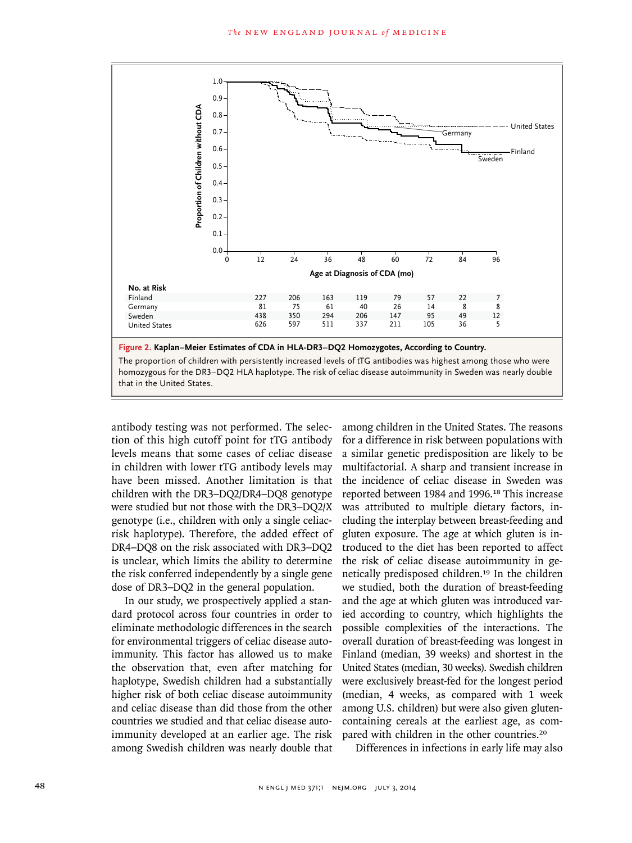

**Figure 2. Kaplan–Meier Estimates of CDA in HLA-DR3–DQ2 Homozygotes, According to Country.** The proportion of children with persistently increased levels of tTG antibodies was highest among those who were homozygous for the DR3–DQ2 HLA haplotype. The risk of celiac disease autoimmunity in Sweden was nearly double that in the United States.

antibody testing was not performed. The selection of this high cutoff point for tTG antibody levels means that some cases of celiac disease in children with lower tTG antibody levels may have been missed. Another limitation is that children with the DR3–DQ2/DR4–DQ8 genotype were studied but not those with the DR3–DQ2/X genotype (i.e., children with only a single celiacrisk haplotype). Therefore, the added effect of DR4–DQ8 on the risk associated with DR3–DQ2 is unclear, which limits the ability to determine the risk conferred independently by a single gene dose of DR3–DQ2 in the general population.

In our study, we prospectively applied a standard protocol across four countries in order to eliminate methodologic differences in the search for environmental triggers of celiac disease autoimmunity. This factor has allowed us to make the observation that, even after matching for haplotype, Swedish children had a substantially higher risk of both celiac disease autoimmunity and celiac disease than did those from the other countries we studied and that celiac disease autoimmunity developed at an earlier age. The risk among Swedish children was nearly double that among children in the United States. The reasons for a difference in risk between populations with a similar genetic predisposition are likely to be multifactorial. A sharp and transient increase in the incidence of celiac disease in Sweden was reported between 1984 and 1996.<sup>18</sup> This increase was attributed to multiple dietary factors, including the interplay between breast-feeding and gluten exposure. The age at which gluten is introduced to the diet has been reported to affect the risk of celiac disease autoimmunity in genetically predisposed children.<sup>19</sup> In the children we studied, both the duration of breast-feeding and the age at which gluten was introduced varied according to country, which highlights the possible complexities of the interactions. The overall duration of breast-feeding was longest in Finland (median, 39 weeks) and shortest in the United States (median, 30 weeks). Swedish children were exclusively breast-fed for the longest period (median, 4 weeks, as compared with 1 week among U.S. children) but were also given glutencontaining cereals at the earliest age, as compared with children in the other countries.<sup>20</sup>

Differences in infections in early life may also